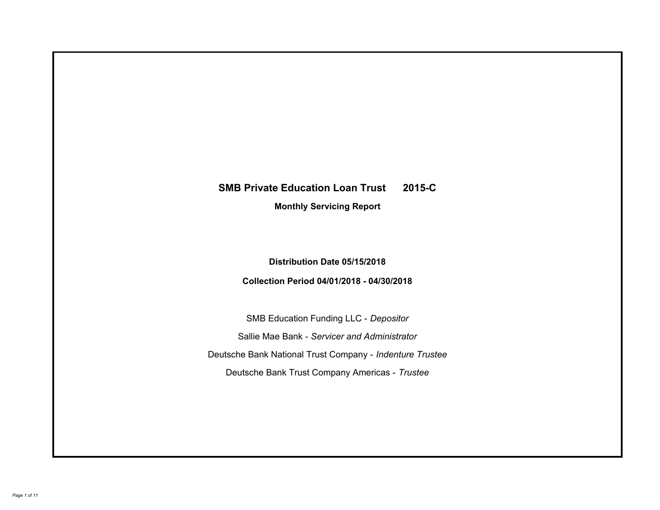# **SMB Private Education Loan Trust 2015-C Monthly Servicing Report**

# **Distribution Date 05/15/2018**

# **Collection Period 04/01/2018 - 04/30/2018**

SMB Education Funding LLC - *Depositor* Sallie Mae Bank - *Servicer and Administrator* Deutsche Bank National Trust Company - *Indenture Trustee* Deutsche Bank Trust Company Americas - *Trustee*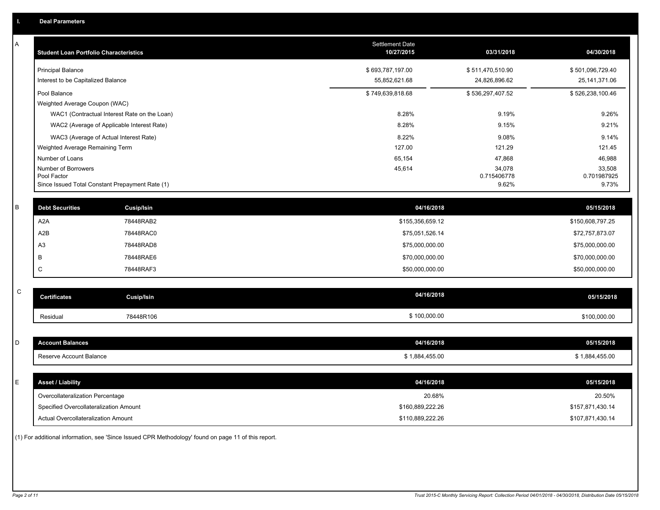| A            | <b>Student Loan Portfolio Characteristics</b>   |                   | Settlement Date<br>10/27/2015 | 03/31/2018       | 04/30/2018       |
|--------------|-------------------------------------------------|-------------------|-------------------------------|------------------|------------------|
|              | <b>Principal Balance</b>                        |                   | \$693,787,197.00              | \$511,470,510.90 | \$501,096,729.40 |
|              | Interest to be Capitalized Balance              |                   | 55,852,621.68                 | 24,826,896.62    | 25, 141, 371.06  |
|              | Pool Balance                                    |                   | \$749,639,818.68              | \$536,297,407.52 | \$526,238,100.46 |
|              | Weighted Average Coupon (WAC)                   |                   |                               |                  |                  |
|              | WAC1 (Contractual Interest Rate on the Loan)    |                   | 8.28%                         | 9.19%            | 9.26%            |
|              | WAC2 (Average of Applicable Interest Rate)      |                   | 8.28%                         | 9.15%            | 9.21%            |
|              | WAC3 (Average of Actual Interest Rate)          |                   | 8.22%                         | 9.08%            | 9.14%            |
|              | Weighted Average Remaining Term                 |                   | 127.00                        | 121.29           | 121.45           |
|              | Number of Loans<br>Number of Borrowers          |                   | 65,154<br>45,614              | 47,868<br>34,078 | 46,988<br>33,508 |
|              | Pool Factor                                     |                   |                               | 0.715406778      | 0.701987925      |
|              | Since Issued Total Constant Prepayment Rate (1) |                   |                               | 9.62%            | 9.73%            |
| $\sf B$      | <b>Debt Securities</b>                          | Cusip/Isin        | 04/16/2018                    |                  | 05/15/2018       |
|              | A <sub>2</sub> A                                | 78448RAB2         | \$155,356,659.12              |                  | \$150,608,797.25 |
|              | A2B                                             | 78448RAC0         | \$75,051,526.14               |                  | \$72,757,873.07  |
|              | A <sub>3</sub>                                  | 78448RAD8         | \$75,000,000.00               |                  | \$75,000,000.00  |
|              | В                                               | 78448RAE6         | \$70,000,000.00               |                  | \$70,000,000.00  |
|              | C                                               | 78448RAF3         | \$50,000,000.00               |                  | \$50,000,000.00  |
|              |                                                 |                   |                               |                  |                  |
| $\mathsf{C}$ | <b>Certificates</b>                             | <b>Cusip/Isin</b> | 04/16/2018                    |                  | 05/15/2018       |
|              | Residual                                        | 78448R106         | \$100,000.00                  |                  | \$100,000.00     |
|              |                                                 |                   |                               |                  |                  |
| D            | <b>Account Balances</b>                         |                   | 04/16/2018                    |                  | 05/15/2018       |
|              | Reserve Account Balance                         |                   | \$1,884,455.00                |                  | \$1,884,455.00   |
|              |                                                 |                   |                               |                  |                  |
| Е            | <b>Asset / Liability</b>                        |                   | 04/16/2018                    |                  | 05/15/2018       |
|              | Overcollateralization Percentage                |                   | 20.68%                        |                  | 20.50%           |
|              | Specified Overcollateralization Amount          |                   | \$160,889,222.26              |                  | \$157,871,430.14 |
|              | Actual Overcollateralization Amount             |                   | \$110,889,222.26              |                  | \$107,871,430.14 |

(1) For additional information, see 'Since Issued CPR Methodology' found on page 11 of this report.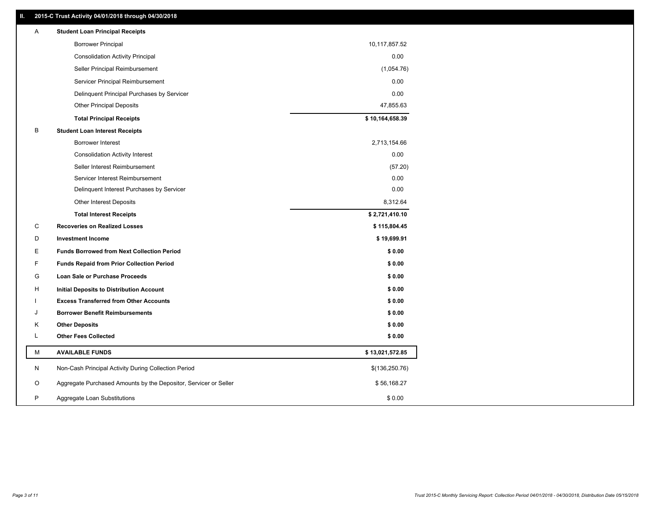### **II. 2015-C Trust Activity 04/01/2018 through 04/30/2018**

| Α | <b>Student Loan Principal Receipts</b>                           |                 |  |
|---|------------------------------------------------------------------|-----------------|--|
|   | <b>Borrower Principal</b>                                        | 10,117,857.52   |  |
|   | <b>Consolidation Activity Principal</b>                          | 0.00            |  |
|   | Seller Principal Reimbursement                                   | (1,054.76)      |  |
|   | Servicer Principal Reimbursement                                 | 0.00            |  |
|   | Delinquent Principal Purchases by Servicer                       | 0.00            |  |
|   | <b>Other Principal Deposits</b>                                  | 47,855.63       |  |
|   | <b>Total Principal Receipts</b>                                  | \$10,164,658.39 |  |
| в | <b>Student Loan Interest Receipts</b>                            |                 |  |
|   | <b>Borrower Interest</b>                                         | 2,713,154.66    |  |
|   | <b>Consolidation Activity Interest</b>                           | 0.00            |  |
|   | Seller Interest Reimbursement                                    | (57.20)         |  |
|   | Servicer Interest Reimbursement                                  | 0.00            |  |
|   | Delinquent Interest Purchases by Servicer                        | 0.00            |  |
|   | Other Interest Deposits                                          | 8,312.64        |  |
|   | <b>Total Interest Receipts</b>                                   | \$2,721,410.10  |  |
| C | <b>Recoveries on Realized Losses</b>                             | \$115,804.45    |  |
| D | <b>Investment Income</b>                                         | \$19,699.91     |  |
| Ε | <b>Funds Borrowed from Next Collection Period</b>                | \$0.00          |  |
| F | <b>Funds Repaid from Prior Collection Period</b>                 | \$0.00          |  |
| G | Loan Sale or Purchase Proceeds                                   | \$0.00          |  |
| н | Initial Deposits to Distribution Account                         | \$0.00          |  |
|   | <b>Excess Transferred from Other Accounts</b>                    | \$0.00          |  |
| J | <b>Borrower Benefit Reimbursements</b>                           | \$0.00          |  |
| Κ | <b>Other Deposits</b>                                            | \$0.00          |  |
| L | <b>Other Fees Collected</b>                                      | \$0.00          |  |
| М | <b>AVAILABLE FUNDS</b>                                           | \$13,021,572.85 |  |
| N | Non-Cash Principal Activity During Collection Period             | \$(136,250.76)  |  |
| O | Aggregate Purchased Amounts by the Depositor, Servicer or Seller | \$56,168.27     |  |
| P | Aggregate Loan Substitutions                                     | \$0.00          |  |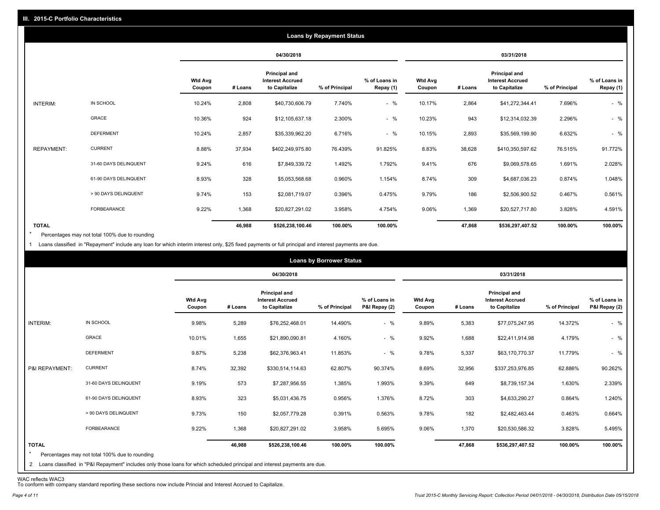|                   |                       |                          |         |                                                           | <b>Loans by Repayment Status</b> |                            |                          |         |                                                           |                |                            |
|-------------------|-----------------------|--------------------------|---------|-----------------------------------------------------------|----------------------------------|----------------------------|--------------------------|---------|-----------------------------------------------------------|----------------|----------------------------|
|                   |                       |                          |         | 04/30/2018                                                |                                  |                            |                          |         | 03/31/2018                                                |                |                            |
|                   |                       | <b>Wtd Avg</b><br>Coupon | # Loans | Principal and<br><b>Interest Accrued</b><br>to Capitalize | % of Principal                   | % of Loans in<br>Repay (1) | <b>Wtd Avg</b><br>Coupon | # Loans | Principal and<br><b>Interest Accrued</b><br>to Capitalize | % of Principal | % of Loans in<br>Repay (1) |
| INTERIM:          | IN SCHOOL             | 10.24%                   | 2,808   | \$40,730,606.79                                           | 7.740%                           | $-$ %                      | 10.17%                   | 2,864   | \$41,272,344.41                                           | 7.696%         | $-$ %                      |
|                   | GRACE                 | 10.36%                   | 924     | \$12,105,637.18                                           | 2.300%                           | $-$ %                      | 10.23%                   | 943     | \$12,314,032.39                                           | 2.296%         | $-$ %                      |
|                   | <b>DEFERMENT</b>      | 10.24%                   | 2,857   | \$35,339,962.20                                           | 6.716%                           | $-$ %                      | 10.15%                   | 2,893   | \$35,569,199.90                                           | 6.632%         | $-$ %                      |
| <b>REPAYMENT:</b> | <b>CURRENT</b>        | 8.88%                    | 37,934  | \$402,249,975.80                                          | 76.439%                          | 91.825%                    | 8.83%                    | 38,628  | \$410,350,597.62                                          | 76.515%        | 91.772%                    |
|                   | 31-60 DAYS DELINQUENT | 9.24%                    | 616     | \$7,849,339.72                                            | 1.492%                           | 1.792%                     | 9.41%                    | 676     | \$9,069,578.65                                            | 1.691%         | 2.028%                     |
|                   | 61-90 DAYS DELINQUENT | 8.93%                    | 328     | \$5,053,568.68                                            | 0.960%                           | 1.154%                     | 8.74%                    | 309     | \$4,687,036.23                                            | 0.874%         | 1.048%                     |
|                   | > 90 DAYS DELINQUENT  | 9.74%                    | 153     | \$2,081,719.07                                            | 0.396%                           | 0.475%                     | 9.79%                    | 186     | \$2,506,900.52                                            | 0.467%         | 0.561%                     |
|                   | FORBEARANCE           | 9.22%                    | 1,368   | \$20,827,291.02                                           | 3.958%                           | 4.754%                     | 9.06%                    | 1,369   | \$20,527,717.80                                           | 3.828%         | 4.591%                     |
| <b>TOTAL</b>      |                       |                          | 46,988  | \$526,238,100.46                                          | 100.00%                          | 100.00%                    |                          | 47,868  | \$536,297,407.52                                          | 100.00%        | 100.00%                    |

Percentages may not total 100% due to rounding \*

1 Loans classified in "Repayment" include any loan for which interim interest only, \$25 fixed payments or full principal and interest payments are due.

|                         |                                                                                                                              |                          |            |                                                           | <b>Loans by Borrower Status</b> |                                |                          |         |                                                           |                |                                |
|-------------------------|------------------------------------------------------------------------------------------------------------------------------|--------------------------|------------|-----------------------------------------------------------|---------------------------------|--------------------------------|--------------------------|---------|-----------------------------------------------------------|----------------|--------------------------------|
|                         |                                                                                                                              |                          | 04/30/2018 |                                                           |                                 | 03/31/2018                     |                          |         |                                                           |                |                                |
|                         |                                                                                                                              | <b>Wtd Avg</b><br>Coupon | # Loans    | Principal and<br><b>Interest Accrued</b><br>to Capitalize | % of Principal                  | % of Loans in<br>P&I Repay (2) | <b>Wtd Avg</b><br>Coupon | # Loans | Principal and<br><b>Interest Accrued</b><br>to Capitalize | % of Principal | % of Loans in<br>P&I Repay (2) |
| INTERIM:                | IN SCHOOL                                                                                                                    | 9.98%                    | 5,289      | \$76,252,468.01                                           | 14.490%                         | $-$ %                          | 9.89%                    | 5,383   | \$77,075,247.95                                           | 14.372%        | $-$ %                          |
|                         | <b>GRACE</b>                                                                                                                 | 10.01%                   | 1,655      | \$21,890,090.81                                           | 4.160%                          | $-$ %                          | 9.92%                    | 1,688   | \$22,411,914.98                                           | 4.179%         | $-$ %                          |
|                         | <b>DEFERMENT</b>                                                                                                             | 9.87%                    | 5,238      | \$62,376,963.41                                           | 11.853%                         | $-$ %                          | 9.78%                    | 5,337   | \$63,170,770.37                                           | 11.779%        | $-$ %                          |
| P&I REPAYMENT:          | <b>CURRENT</b>                                                                                                               | 8.74%                    | 32,392     | \$330,514,114.63                                          | 62.807%                         | 90.374%                        | 8.69%                    | 32,956  | \$337,253,976.85                                          | 62.886%        | 90.262%                        |
|                         | 31-60 DAYS DELINQUENT                                                                                                        | 9.19%                    | 573        | \$7,287,956.55                                            | 1.385%                          | 1.993%                         | 9.39%                    | 649     | \$8,739,157.34                                            | 1.630%         | 2.339%                         |
|                         | 61-90 DAYS DELINQUENT                                                                                                        | 8.93%                    | 323        | \$5,031,436.75                                            | 0.956%                          | 1.376%                         | 8.72%                    | 303     | \$4,633,290.27                                            | 0.864%         | 1.240%                         |
|                         | > 90 DAYS DELINQUENT                                                                                                         | 9.73%                    | 150        | \$2,057,779.28                                            | 0.391%                          | 0.563%                         | 9.78%                    | 182     | \$2,482,463.44                                            | 0.463%         | 0.664%                         |
|                         | <b>FORBEARANCE</b>                                                                                                           | 9.22%                    | 1,368      | \$20,827,291.02                                           | 3.958%                          | 5.695%                         | 9.06%                    | 1,370   | \$20,530,586.32                                           | 3.828%         | 5.495%                         |
| <b>TOTAL</b><br>$\star$ | Percentages may not total 100% due to rounding                                                                               |                          | 46,988     | \$526,238,100.46                                          | 100.00%                         | 100.00%                        |                          | 47,868  | \$536,297,407.52                                          | 100.00%        | 100.00%                        |
|                         | 2 Loans classified in "P&I Repayment" includes only those loans for which scheduled principal and interest payments are due. |                          |            |                                                           |                                 |                                |                          |         |                                                           |                |                                |

WAC reflects WAC3 To conform with company standard reporting these sections now include Princial and Interest Accrued to Capitalize.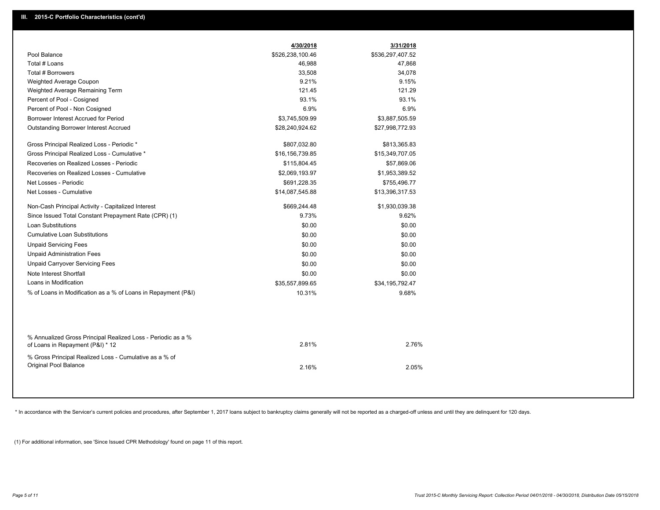|                                                                                                  | 4/30/2018        | 3/31/2018        |  |
|--------------------------------------------------------------------------------------------------|------------------|------------------|--|
| Pool Balance                                                                                     | \$526,238,100.46 | \$536,297,407.52 |  |
| Total # Loans                                                                                    | 46,988           | 47,868           |  |
| <b>Total # Borrowers</b>                                                                         | 33,508           | 34,078           |  |
| Weighted Average Coupon                                                                          | 9.21%            | 9.15%            |  |
| Weighted Average Remaining Term                                                                  | 121.45           | 121.29           |  |
| Percent of Pool - Cosigned                                                                       | 93.1%            | 93.1%            |  |
| Percent of Pool - Non Cosigned                                                                   | 6.9%             | 6.9%             |  |
| Borrower Interest Accrued for Period                                                             | \$3,745,509.99   | \$3,887,505.59   |  |
| Outstanding Borrower Interest Accrued                                                            | \$28,240,924.62  | \$27,998,772.93  |  |
| Gross Principal Realized Loss - Periodic *                                                       | \$807,032.80     | \$813,365.83     |  |
| Gross Principal Realized Loss - Cumulative *                                                     | \$16,156,739.85  | \$15,349,707.05  |  |
| Recoveries on Realized Losses - Periodic                                                         | \$115,804.45     | \$57,869.06      |  |
| Recoveries on Realized Losses - Cumulative                                                       | \$2,069,193.97   | \$1,953,389.52   |  |
| Net Losses - Periodic                                                                            | \$691,228.35     | \$755,496.77     |  |
| Net Losses - Cumulative                                                                          | \$14,087,545.88  | \$13,396,317.53  |  |
| Non-Cash Principal Activity - Capitalized Interest                                               | \$669,244.48     | \$1,930,039.38   |  |
| Since Issued Total Constant Prepayment Rate (CPR) (1)                                            | 9.73%            | 9.62%            |  |
| <b>Loan Substitutions</b>                                                                        | \$0.00           | \$0.00           |  |
| <b>Cumulative Loan Substitutions</b>                                                             | \$0.00           | \$0.00           |  |
| <b>Unpaid Servicing Fees</b>                                                                     | \$0.00           | \$0.00           |  |
| <b>Unpaid Administration Fees</b>                                                                | \$0.00           | \$0.00           |  |
| <b>Unpaid Carryover Servicing Fees</b>                                                           | \$0.00           | \$0.00           |  |
| Note Interest Shortfall                                                                          | \$0.00           | \$0.00           |  |
| Loans in Modification                                                                            | \$35,557,899.65  | \$34,195,792.47  |  |
| % of Loans in Modification as a % of Loans in Repayment (P&I)                                    | 10.31%           | 9.68%            |  |
|                                                                                                  |                  |                  |  |
|                                                                                                  |                  |                  |  |
|                                                                                                  |                  |                  |  |
| % Annualized Gross Principal Realized Loss - Periodic as a %<br>of Loans in Repayment (P&I) * 12 | 2.81%            | 2.76%            |  |
|                                                                                                  |                  |                  |  |
| % Gross Principal Realized Loss - Cumulative as a % of<br>Original Pool Balance                  |                  |                  |  |
|                                                                                                  | 2.16%            | 2.05%            |  |
|                                                                                                  |                  |                  |  |

\* In accordance with the Servicer's current policies and procedures, after September 1, 2017 loans subject to bankruptcy claims generally will not be reported as a charged-off unless and until they are delinquent for 120 d

(1) For additional information, see 'Since Issued CPR Methodology' found on page 11 of this report.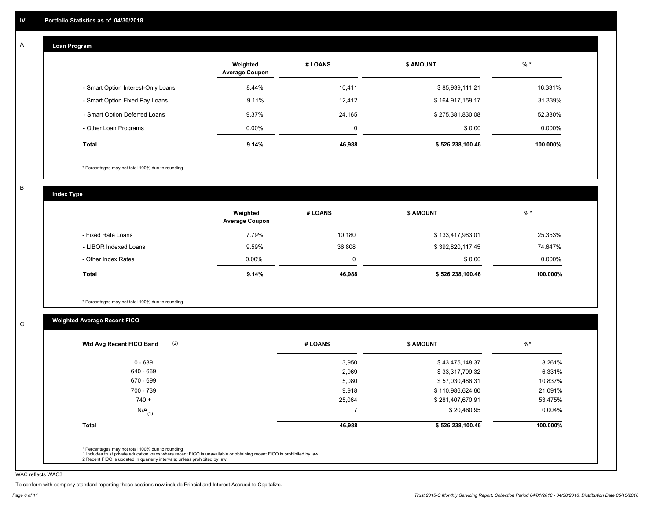#### **Loan Program**  A

|                                    | Weighted<br><b>Average Coupon</b> | # LOANS | <b>\$ AMOUNT</b> | $%$ *     |
|------------------------------------|-----------------------------------|---------|------------------|-----------|
| - Smart Option Interest-Only Loans | 8.44%                             | 10.411  | \$85,939,111.21  | 16.331%   |
| - Smart Option Fixed Pay Loans     | 9.11%                             | 12.412  | \$164,917,159.17 | 31.339%   |
| - Smart Option Deferred Loans      | 9.37%                             | 24.165  | \$275,381,830.08 | 52.330%   |
| - Other Loan Programs              | $0.00\%$                          | 0       | \$0.00           | $0.000\%$ |
| Total                              | 9.14%                             | 46,988  | \$526,238,100.46 | 100.000%  |

\* Percentages may not total 100% due to rounding

B

C

**Index Type**

|                       | Weighted<br><b>Average Coupon</b> | # LOANS  | \$ AMOUNT        | $%$ *     |
|-----------------------|-----------------------------------|----------|------------------|-----------|
| - Fixed Rate Loans    | 7.79%                             | 10.180   | \$133,417,983.01 | 25.353%   |
| - LIBOR Indexed Loans | 9.59%                             | 36,808   | \$392,820,117.45 | 74.647%   |
| - Other Index Rates   | $0.00\%$                          | $\Omega$ | \$0.00           | $0.000\%$ |
| Total                 | 9.14%                             | 46,988   | \$526,238,100.46 | 100.000%  |

\* Percentages may not total 100% due to rounding

## **Weighted Average Recent FICO**

| $0 - 639$            |        |                  |          |
|----------------------|--------|------------------|----------|
|                      | 3,950  | \$43,475,148.37  | 8.261%   |
| 640 - 669            | 2,969  | \$33,317,709.32  | 6.331%   |
| 670 - 699            | 5,080  | \$57,030,486.31  | 10.837%  |
| 700 - 739            | 9,918  | \$110,986,624.60 | 21.091%  |
| $740 +$              | 25,064 | \$281,407,670.91 | 53.475%  |
| $N/A$ <sub>(1)</sub> |        | \$20,460.95      | 0.004%   |
| <b>Total</b>         | 46,988 | \$526,238,100.46 | 100.000% |

WAC reflects WAC3

To conform with company standard reporting these sections now include Princial and Interest Accrued to Capitalize.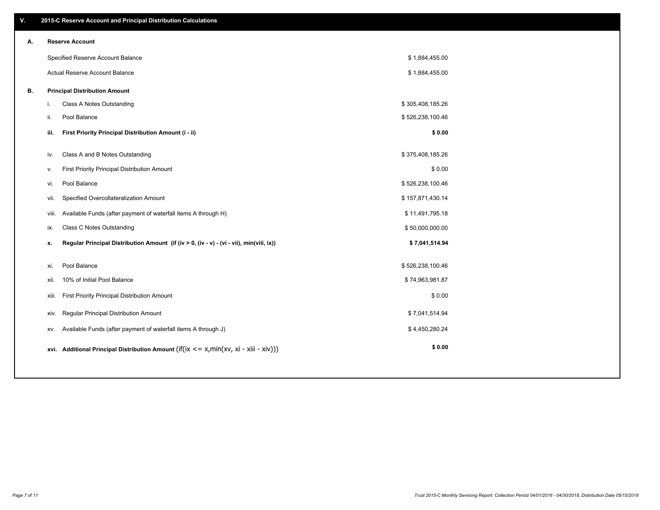| V. |       | 2015-C Reserve Account and Principal Distribution Calculations                           |                  |  |
|----|-------|------------------------------------------------------------------------------------------|------------------|--|
| А. |       | <b>Reserve Account</b>                                                                   |                  |  |
|    |       | Specified Reserve Account Balance                                                        | \$1,884,455.00   |  |
|    |       | Actual Reserve Account Balance                                                           | \$1,884,455.00   |  |
| В. |       | <b>Principal Distribution Amount</b>                                                     |                  |  |
|    | i.    | Class A Notes Outstanding                                                                | \$305,408,185.26 |  |
|    | ii.   | Pool Balance                                                                             | \$526,238,100.46 |  |
|    | iii.  | First Priority Principal Distribution Amount (i - ii)                                    | \$0.00           |  |
|    | iv.   | Class A and B Notes Outstanding                                                          | \$375,408,185.26 |  |
|    | v.    | First Priority Principal Distribution Amount                                             | \$0.00           |  |
|    | vi.   | Pool Balance                                                                             | \$526,238,100.46 |  |
|    | vii.  | Specified Overcollateralization Amount                                                   | \$157,871,430.14 |  |
|    | viii. | Available Funds (after payment of waterfall items A through H)                           | \$11,491,795.18  |  |
|    | ix.   | Class C Notes Outstanding                                                                | \$50,000,000.00  |  |
|    | x.    | Regular Principal Distribution Amount (if (iv > 0, (iv - v) - (vi - vii), min(viii, ix)) | \$7,041,514.94   |  |
|    |       | Pool Balance                                                                             |                  |  |
|    | xi.   | 10% of Initial Pool Balance                                                              | \$526,238,100.46 |  |
|    | xii.  |                                                                                          | \$74,963,981.87  |  |
|    | xiii. | First Priority Principal Distribution Amount                                             | \$0.00           |  |
|    | XIV.  | Regular Principal Distribution Amount                                                    | \$7,041,514.94   |  |
|    | XV.   | Available Funds (after payment of waterfall items A through J)                           | \$4,450,280.24   |  |
|    |       | xvi. Additional Principal Distribution Amount (if(ix <= x,min(xv, xi - xiii - xiv)))     | \$0.00           |  |
|    |       |                                                                                          |                  |  |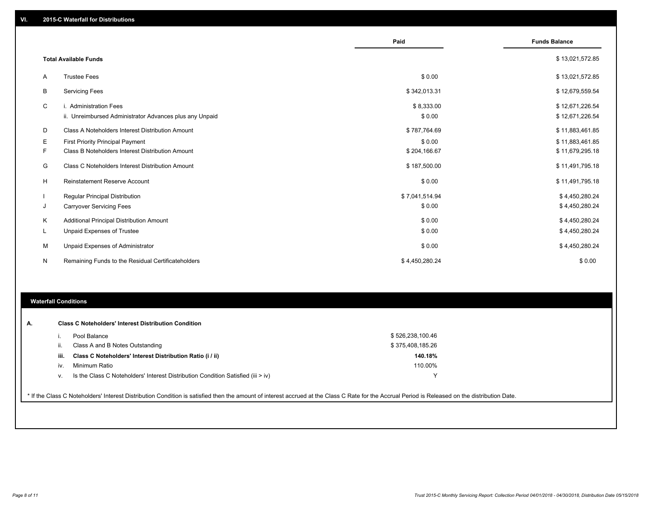|    |                                                         | Paid           | <b>Funds Balance</b> |
|----|---------------------------------------------------------|----------------|----------------------|
|    |                                                         |                |                      |
|    | <b>Total Available Funds</b>                            |                | \$13,021,572.85      |
| A  | <b>Trustee Fees</b>                                     | \$0.00         | \$13,021,572.85      |
| B  | <b>Servicing Fees</b>                                   | \$342,013.31   | \$12,679,559.54      |
| C  | i. Administration Fees                                  | \$8,333.00     | \$12,671,226.54      |
|    | ii. Unreimbursed Administrator Advances plus any Unpaid | \$0.00         | \$12,671,226.54      |
| D  | Class A Noteholders Interest Distribution Amount        | \$787,764.69   | \$11,883,461.85      |
| Е  | First Priority Principal Payment                        | \$0.00         | \$11,883,461.85      |
|    | Class B Noteholders Interest Distribution Amount        | \$204,166.67   | \$11,679,295.18      |
| G  | Class C Noteholders Interest Distribution Amount        | \$187,500.00   | \$11,491,795.18      |
| H  | <b>Reinstatement Reserve Account</b>                    | \$0.00         | \$11,491,795.18      |
|    | <b>Regular Principal Distribution</b>                   | \$7,041,514.94 | \$4,450,280.24       |
|    | <b>Carryover Servicing Fees</b>                         | \$0.00         | \$4,450,280.24       |
| K  | Additional Principal Distribution Amount                | \$0.00         | \$4,450,280.24       |
| L. | Unpaid Expenses of Trustee                              | \$0.00         | \$4,450,280.24       |
| м  | Unpaid Expenses of Administrator                        | \$0.00         | \$4,450,280.24       |
| N  | Remaining Funds to the Residual Certificateholders      | \$4,450,280.24 | \$0.00               |
|    |                                                         |                |                      |

#### **Waterfall Conditions**

|      | Pool Balance                                                                       | \$526,238,100.46 |  |
|------|------------------------------------------------------------------------------------|------------------|--|
|      | Class A and B Notes Outstanding                                                    | \$375,408,185.26 |  |
| iii. | Class C Noteholders' Interest Distribution Ratio (i / ii)                          | 140.18%          |  |
| iv.  | Minimum Ratio                                                                      | 110.00%          |  |
| v.   | Is the Class C Noteholders' Interest Distribution Condition Satisfied (iii $>$ iv) |                  |  |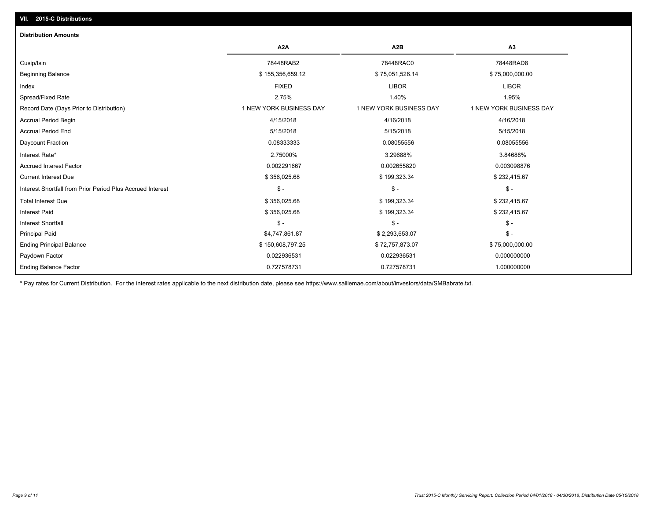# **VII. 2015-C Distributions**

| <b>Distribution Amounts</b>                                |                         |                         |                         |
|------------------------------------------------------------|-------------------------|-------------------------|-------------------------|
|                                                            | A <sub>2</sub> A        | A <sub>2</sub> B        | A <sub>3</sub>          |
| Cusip/Isin                                                 | 78448RAB2               | 78448RAC0               | 78448RAD8               |
| <b>Beginning Balance</b>                                   | \$155,356,659.12        | \$75,051,526.14         | \$75,000,000.00         |
| Index                                                      | <b>FIXED</b>            | <b>LIBOR</b>            | <b>LIBOR</b>            |
| Spread/Fixed Rate                                          | 2.75%                   | 1.40%                   | 1.95%                   |
| Record Date (Days Prior to Distribution)                   | 1 NEW YORK BUSINESS DAY | 1 NEW YORK BUSINESS DAY | 1 NEW YORK BUSINESS DAY |
| <b>Accrual Period Begin</b>                                | 4/15/2018               | 4/16/2018               | 4/16/2018               |
| <b>Accrual Period End</b>                                  | 5/15/2018               | 5/15/2018               | 5/15/2018               |
| Daycount Fraction                                          | 0.08333333              | 0.08055556              | 0.08055556              |
| Interest Rate*                                             | 2.75000%                | 3.29688%                | 3.84688%                |
| <b>Accrued Interest Factor</b>                             | 0.002291667             | 0.002655820             | 0.003098876             |
| <b>Current Interest Due</b>                                | \$356,025.68            | \$199,323.34            | \$232,415.67            |
| Interest Shortfall from Prior Period Plus Accrued Interest | $\mathsf{\$}$ -         | $\mathcal{S}$ -         | $\mathsf{\$}$ -         |
| <b>Total Interest Due</b>                                  | \$356,025.68            | \$199,323.34            | \$232,415.67            |
| <b>Interest Paid</b>                                       | \$356,025.68            | \$199,323.34            | \$232,415.67            |
| <b>Interest Shortfall</b>                                  | $S -$                   | $\mathbb{S}$ -          | $S -$                   |
| <b>Principal Paid</b>                                      | \$4,747,861.87          | \$2,293,653.07          | $\mathsf{\$}$ -         |
| <b>Ending Principal Balance</b>                            | \$150,608,797.25        | \$72,757,873.07         | \$75,000,000.00         |
| Paydown Factor                                             | 0.022936531             | 0.022936531             | 0.000000000             |
| <b>Ending Balance Factor</b>                               | 0.727578731             | 0.727578731             | 1.000000000             |

\* Pay rates for Current Distribution. For the interest rates applicable to the next distribution date, please see https://www.salliemae.com/about/investors/data/SMBabrate.txt.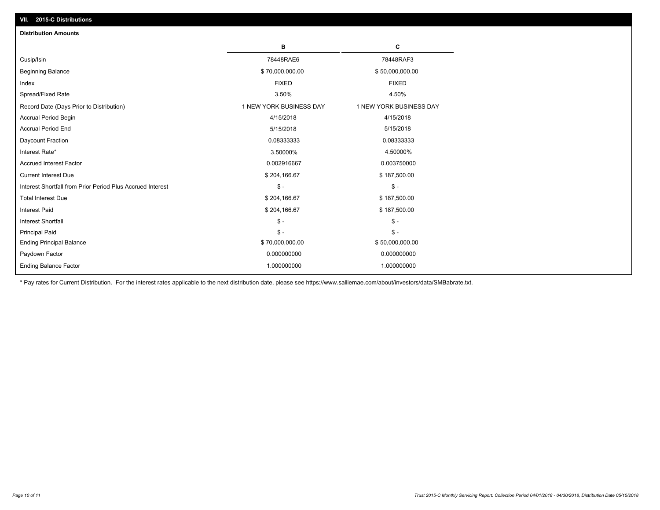| <b>Distribution Amounts</b>                                |                         |                         |
|------------------------------------------------------------|-------------------------|-------------------------|
|                                                            | в                       | C                       |
| Cusip/Isin                                                 | 78448RAE6               | 78448RAF3               |
| <b>Beginning Balance</b>                                   | \$70,000,000.00         | \$50,000,000.00         |
| Index                                                      | <b>FIXED</b>            | <b>FIXED</b>            |
| Spread/Fixed Rate                                          | 3.50%                   | 4.50%                   |
| Record Date (Days Prior to Distribution)                   | 1 NEW YORK BUSINESS DAY | 1 NEW YORK BUSINESS DAY |
| <b>Accrual Period Begin</b>                                | 4/15/2018               | 4/15/2018               |
| <b>Accrual Period End</b>                                  | 5/15/2018               | 5/15/2018               |
| Daycount Fraction                                          | 0.08333333              | 0.08333333              |
| Interest Rate*                                             | 3.50000%                | 4.50000%                |
| <b>Accrued Interest Factor</b>                             | 0.002916667             | 0.003750000             |
| <b>Current Interest Due</b>                                | \$204,166.67            | \$187,500.00            |
| Interest Shortfall from Prior Period Plus Accrued Interest | $\mathcal{S}$ -         | $\mathsf{\$}$ -         |
| <b>Total Interest Due</b>                                  | \$204,166.67            | \$187,500.00            |
| <b>Interest Paid</b>                                       | \$204,166.67            | \$187,500.00            |
| <b>Interest Shortfall</b>                                  | $\mathcal{S}$ -         | $\mathsf{\$}$ -         |
| <b>Principal Paid</b>                                      | $\mathsf{\$}$ -         | $\mathsf{\$}$ -         |
| <b>Ending Principal Balance</b>                            | \$70,000,000.00         | \$50,000,000.00         |
| Paydown Factor                                             | 0.000000000             | 0.000000000             |
| <b>Ending Balance Factor</b>                               | 1.000000000             | 1.000000000             |

\* Pay rates for Current Distribution. For the interest rates applicable to the next distribution date, please see https://www.salliemae.com/about/investors/data/SMBabrate.txt.

**VII. 2015-C Distributions**